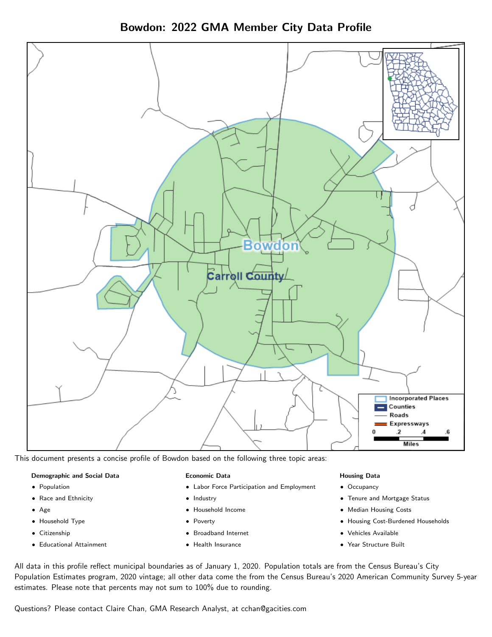Bowdon: 2022 GMA Member City Data Profile



This document presents a concise profile of Bowdon based on the following three topic areas:

#### Demographic and Social Data

- **•** Population
- Race and Ethnicity
- Age
- Household Type
- **Citizenship**
- Educational Attainment

#### Economic Data

- Labor Force Participation and Employment
- Industry
- Household Income
- Poverty
- Broadband Internet
- Health Insurance

#### Housing Data

- Occupancy
- Tenure and Mortgage Status
- Median Housing Costs
- Housing Cost-Burdened Households
- Vehicles Available
- Year Structure Built

All data in this profile reflect municipal boundaries as of January 1, 2020. Population totals are from the Census Bureau's City Population Estimates program, 2020 vintage; all other data come the from the Census Bureau's 2020 American Community Survey 5-year estimates. Please note that percents may not sum to 100% due to rounding.

Questions? Please contact Claire Chan, GMA Research Analyst, at [cchan@gacities.com.](mailto:cchan@gacities.com)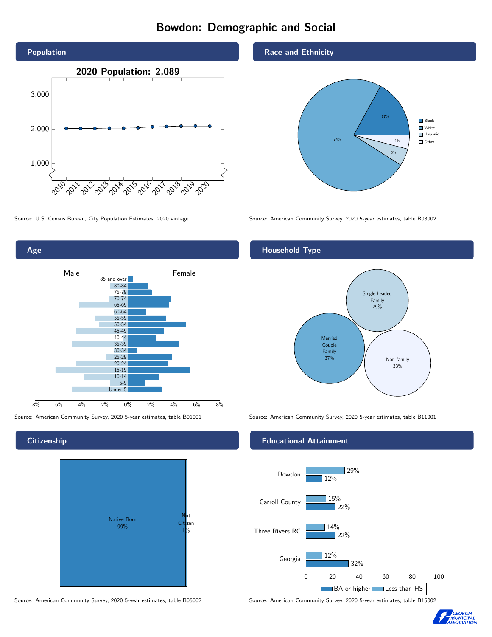# Bowdon: Demographic and Social





**Citizenship** 



Source: American Community Survey, 2020 5-year estimates, table B05002 Source: American Community Survey, 2020 5-year estimates, table B15002

#### Race and Ethnicity



Source: U.S. Census Bureau, City Population Estimates, 2020 vintage Source: American Community Survey, 2020 5-year estimates, table B03002

# Household Type



Source: American Community Survey, 2020 5-year estimates, table B01001 Source: American Community Survey, 2020 5-year estimates, table B11001

#### Educational Attainment



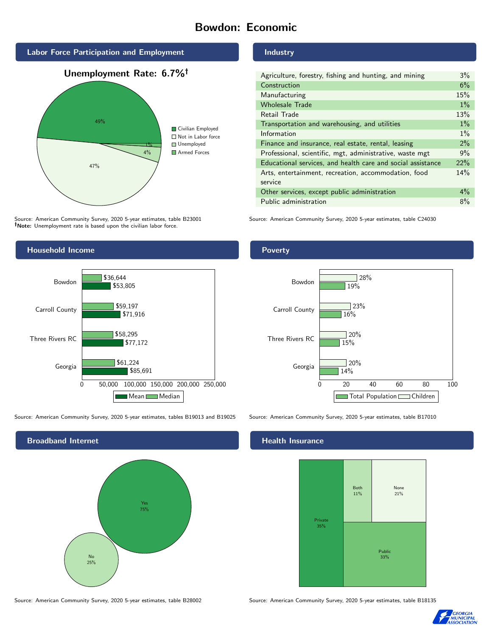# Bowdon: Economic



Source: American Community Survey, 2020 5-year estimates, table B23001 Note: Unemployment rate is based upon the civilian labor force.



Georgia

Three Rivers RC

### Industry

| Agriculture, forestry, fishing and hunting, and mining      | 3%    |
|-------------------------------------------------------------|-------|
| Construction                                                | 6%    |
| Manufacturing                                               | 15%   |
| <b>Wholesale Trade</b>                                      | $1\%$ |
| Retail Trade                                                | 13%   |
| Transportation and warehousing, and utilities               | $1\%$ |
| Information                                                 | $1\%$ |
| Finance and insurance, real estate, rental, leasing         | $2\%$ |
| Professional, scientific, mgt, administrative, waste mgt    | 9%    |
| Educational services, and health care and social assistance | 22%   |
| Arts, entertainment, recreation, accommodation, food        | 14%   |
| service                                                     |       |
| Other services, except public administration                | $4\%$ |
| Public administration                                       | 8%    |

Source: American Community Survey, 2020 5-year estimates, table C24030





Source: American Community Survey, 2020 5-year estimates, tables B19013 and B19025 Source: American Community Survey, 2020 5-year estimates, table B17010

0 50,000 100,000 150,000 200,000 250,000

Mean Median

\$85,691

\$77,172

\$61,224

\$58,295



Source: American Community Survey, 2020 5-year estimates, table B28002 Source: American Community Survey, 2020 5-year estimates, table B18135

# **Health Insurance**